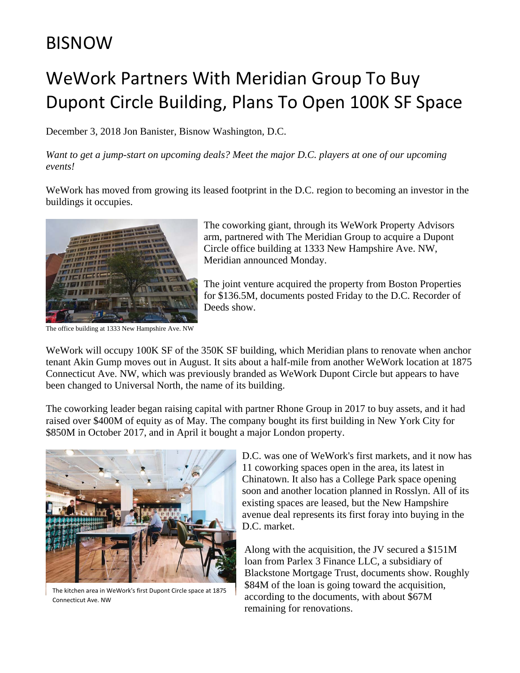## BISNOW

## WeWork Partners With Meridian Group To Buy Dupont Circle Building, Plans To Open 100K SF Space

December 3, 2018 Jon Banister, Bisnow Washington, D.C.

*Want to get a jump-start on upcoming deals? Meet the major D.C. players at one of our upcoming events!*

WeWork has moved from growing its leased footprint in the D.C. region to becoming an investor in the buildings it occupies.



The office building at 1333 New Hampshire Ave. NW

The coworking giant, through its WeWork Property Advisors arm, partnered with The Meridian Group to acquire a Dupont Circle office building at 1333 New Hampshire Ave. NW, Meridian announced Monday.

The joint venture acquired the property from Boston Properties for \$136.5M, documents posted Friday to the D.C. Recorder of Deeds show.

WeWork will occupy 100K SF of the 350K SF building, which Meridian plans to renovate when anchor tenant Akin Gump moves out in August. It sits about a half-mile from another WeWork location at 1875 Connecticut Ave. NW, which was previously branded as WeWork Dupont Circle but appears to have been changed to Universal North, the name of its building.

The coworking leader began raising capital with partner Rhone Group in 2017 to buy assets, and it had raised over \$400M of equity as of May. The company bought its first building in New York City for \$850M in October 2017, and in April it bought a major London property.



The kitchen area in WeWork's first Dupont Circle space at 1875 Connecticut Ave. NW

D.C. was one of WeWork's first markets, and it now has 11 coworking spaces open in the area, its latest in Chinatown. It also has a College Park space opening soon and another location planned in Rosslyn. All of its existing spaces are leased, but the New Hampshire avenue deal represents its first foray into buying in the D.C. market.

Along with the acquisition, the JV secured a \$151M loan from Parlex 3 Finance LLC, a subsidiary of Blackstone Mortgage Trust, documents show. Roughly \$84M of the loan is going toward the acquisition, according to the documents, with about \$67M remaining for renovations.